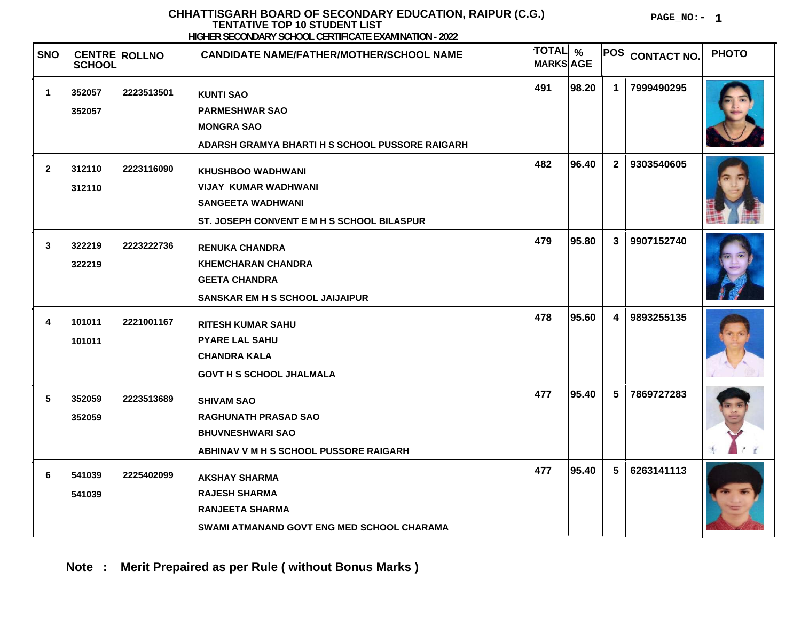**PAGE\_NO:- 1**

| <b>SNO</b>      | <b>SCHOOL</b>    | <b>CENTRE ROLLNO</b> | <b>INVILLA OLOONDI WAT OONOOL OLIANI KIIN LEID WINNATION.</b> LOLI<br><b>CANDIDATE NAME/FATHER/MOTHER/SCHOOL NAME</b>             | TOTAL %<br><b>MARKS AGE</b> |       | POS            | <b>CONTACT NO.</b> | <b>PHOTO</b> |
|-----------------|------------------|----------------------|-----------------------------------------------------------------------------------------------------------------------------------|-----------------------------|-------|----------------|--------------------|--------------|
| 1               | 352057<br>352057 | 2223513501           | <b>KUNTI SAO</b><br><b>PARMESHWAR SAO</b><br><b>MONGRA SAO</b><br>ADARSH GRAMYA BHARTI H S SCHOOL PUSSORE RAIGARH                 | 491                         | 98.20 | $\mathbf 1$    | 7999490295         |              |
| $\mathbf{2}$    | 312110<br>312110 | 2223116090           | <b>KHUSHBOO WADHWANI</b><br><b>VIJAY KUMAR WADHWANI</b><br><b>SANGEETA WADHWANI</b><br>ST. JOSEPH CONVENT E M H S SCHOOL BILASPUR | 482                         | 96.40 | 2 <sub>1</sub> | 9303540605         |              |
| 3               | 322219<br>322219 | 2223222736           | <b>RENUKA CHANDRA</b><br><b>KHEMCHARAN CHANDRA</b><br><b>GEETA CHANDRA</b><br><b>SANSKAR EM H S SCHOOL JAIJAIPUR</b>              | 479                         | 95.80 | 3 <sup>1</sup> | 9907152740         |              |
| 4               | 101011<br>101011 | 2221001167           | <b>RITESH KUMAR SAHU</b><br><b>PYARE LAL SAHU</b><br><b>CHANDRA KALA</b><br><b>GOVT H S SCHOOL JHALMALA</b>                       | 478                         | 95.60 | $\overline{4}$ | 9893255135         |              |
| $5\phantom{.0}$ | 352059<br>352059 | 2223513689           | <b>SHIVAM SAO</b><br><b>RAGHUNATH PRASAD SAO</b><br><b>BHUVNESHWARI SAO</b><br>ABHINAV V M H S SCHOOL PUSSORE RAIGARH             | 477                         | 95.40 | 5              | 7869727283         |              |
| 6               | 541039<br>541039 | 2225402099           | <b>AKSHAY SHARMA</b><br><b>RAJESH SHARMA</b><br><b>RANJEETA SHARMA</b><br>SWAMI ATMANAND GOVT ENG MED SCHOOL CHARAMA              | 477                         | 95.40 | 5              | 6263141113         |              |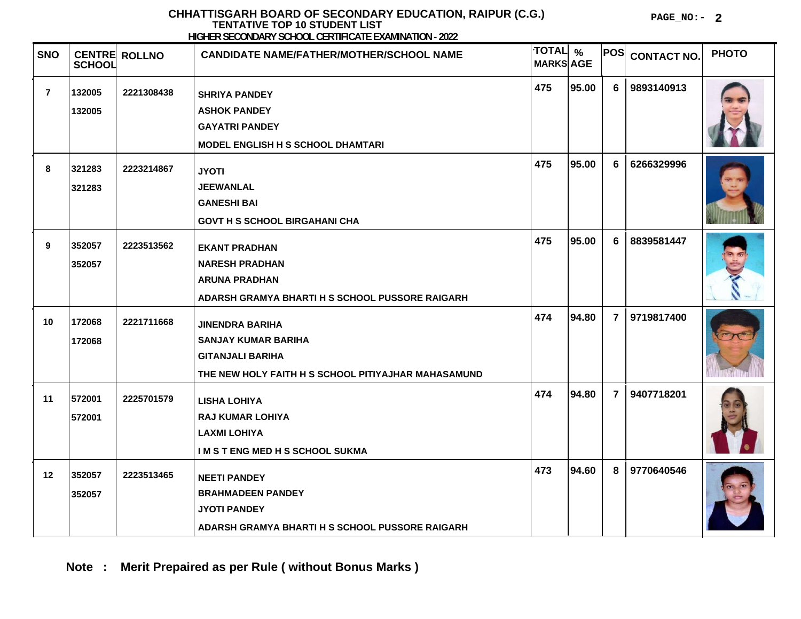**PAGE\_NO:- 2**

| <b>SNO</b>     | <b>SCHOOL</b>    | <b>CENTRE ROLLNO</b> | <b>CANDIDATE NAME/FATHER/MOTHER/SCHOOL NAME</b>                                                                                        | <b>TOTAL</b><br><b>MARKS AGE</b> | $\frac{0}{0}$ | <b>POS</b>     | <b>CONTACT NO.</b> | <b>PHOTO</b> |
|----------------|------------------|----------------------|----------------------------------------------------------------------------------------------------------------------------------------|----------------------------------|---------------|----------------|--------------------|--------------|
| $\overline{7}$ | 132005<br>132005 | 2221308438           | <b>SHRIYA PANDEY</b><br><b>ASHOK PANDEY</b><br><b>GAYATRI PANDEY</b><br>MODEL ENGLISH H S SCHOOL DHAMTARI                              | 475                              | 95.00         | 6 <sup>1</sup> | 9893140913         |              |
| 8              | 321283<br>321283 | 2223214867           | <b>JYOTI</b><br><b>JEEWANLAL</b><br><b>GANESHI BAI</b><br><b>GOVT H S SCHOOL BIRGAHANI CHA</b>                                         | 475                              | 95.00         | 6              | 6266329996         |              |
| 9              | 352057<br>352057 | 2223513562           | <b>EKANT PRADHAN</b><br><b>NARESH PRADHAN</b><br><b>ARUNA PRADHAN</b><br>ADARSH GRAMYA BHARTI H S SCHOOL PUSSORE RAIGARH               | 475                              | 95.00         | 6              | 8839581447         |              |
| 10             | 172068<br>172068 | 2221711668           | <b>JINENDRA BARIHA</b><br><b>SANJAY KUMAR BARIHA</b><br><b>GITANJALI BARIHA</b><br>THE NEW HOLY FAITH H S SCHOOL PITIYAJHAR MAHASAMUND | 474                              | 94.80         | 7 <sup>1</sup> | 9719817400         |              |
| 11             | 572001<br>572001 | 2225701579           | <b>LISHA LOHIYA</b><br><b>RAJ KUMAR LOHIYA</b><br><b>LAXMI LOHIYA</b><br>I M S T ENG MED H S SCHOOL SUKMA                              | 474                              | 94.80         | 7 <sup>1</sup> | 9407718201         |              |
| 12             | 352057<br>352057 | 2223513465           | <b>NEETI PANDEY</b><br><b>BRAHMADEEN PANDEY</b><br><b>JYOTI PANDEY</b><br><b>ADARSH GRAMYA BHARTI H S SCHOOL PUSSORE RAIGARH</b>       | 473                              | 94.60         | 8              | 9770640546         |              |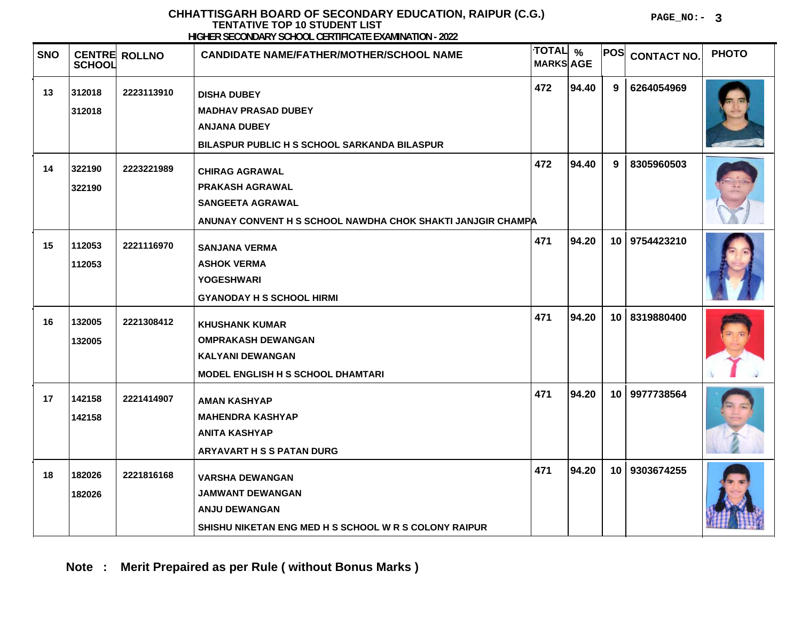**PAGE\_NO:- 3**

| <b>SNO</b> | <b>SCHOOL</b>    | <b>CENTRE ROLLNO</b> | <b>CANDIDATE NAME/FATHER/MOTHER/SCHOOL NAME</b>                                                                                           | TOTAL %<br><b>MARKS AGE</b> |       | <b>POS</b>      | <b>CONTACT NO.</b> | <b>PHOTO</b> |
|------------|------------------|----------------------|-------------------------------------------------------------------------------------------------------------------------------------------|-----------------------------|-------|-----------------|--------------------|--------------|
| 13         | 312018<br>312018 | 2223113910           | <b>DISHA DUBEY</b><br><b>MADHAV PRASAD DUBEY</b><br><b>ANJANA DUBEY</b><br>BILASPUR PUBLIC H S SCHOOL SARKANDA BILASPUR                   | 472                         | 94.40 | 9               | 6264054969         |              |
| 14         | 322190<br>322190 | 2223221989           | <b>CHIRAG AGRAWAL</b><br><b>PRAKASH AGRAWAL</b><br><b>SANGEETA AGRAWAL</b><br>ANUNAY CONVENT H S SCHOOL NAWDHA CHOK SHAKTI JANJGIR CHAMPA | 472                         | 94.40 | 9               | 8305960503         |              |
| 15         | 112053<br>112053 | 2221116970           | <b>SANJANA VERMA</b><br><b>ASHOK VERMA</b><br><b>YOGESHWARI</b><br><b>GYANODAY H S SCHOOL HIRMI</b>                                       | 471                         | 94.20 | 10 <sup>1</sup> | 9754423210         |              |
| 16         | 132005<br>132005 | 2221308412           | <b>KHUSHANK KUMAR</b><br><b>OMPRAKASH DEWANGAN</b><br><b>KALYANI DEWANGAN</b><br>MODEL ENGLISH H S SCHOOL DHAMTARI                        | 471                         | 94.20 | 10              | 8319880400         |              |
| 17         | 142158<br>142158 | 2221414907           | <b>AMAN KASHYAP</b><br><b>MAHENDRA KASHYAP</b><br><b>ANITA KASHYAP</b><br><b>ARYAVART H S S PATAN DURG</b>                                | 471                         | 94.20 |                 | 10 9977738564      |              |
| 18         | 182026<br>182026 | 2221816168           | <b>VARSHA DEWANGAN</b><br>JAMWANT DEWANGAN<br><b>ANJU DEWANGAN</b><br>SHISHU NIKETAN ENG MED H S SCHOOL W R S COLONY RAIPUR               | 471                         | 94.20 | 10 <sup>°</sup> | 9303674255         |              |